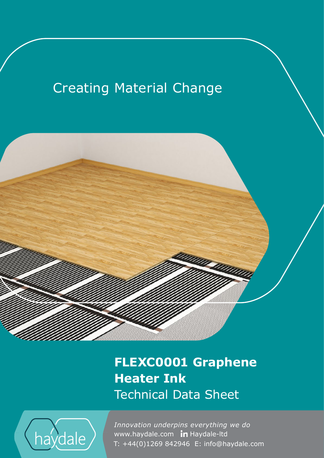# **Creating Material Change**



## **FLEXC0001 Graphene Heater Ink** Technical Data Sheet



www.haydale.com In Haydale-Itd *Innovation underpins everything we do*  T: +44(0)1269 842946 E: info@haydale.com